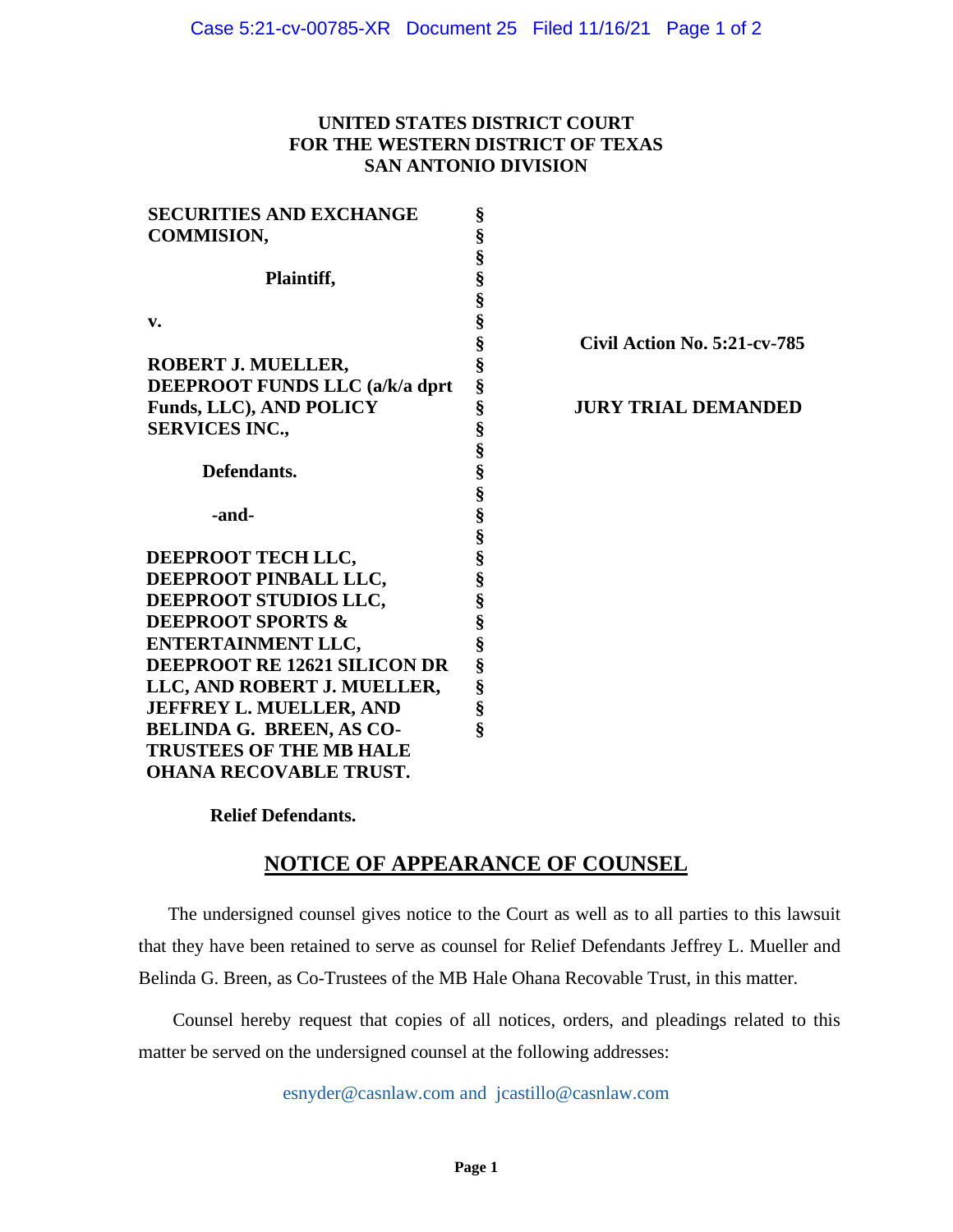#### **UNITED STATES DISTRICT COURT FOR THE WESTERN DISTRICT OF TEXAS SAN ANTONIO DIVISION**

| <b>SECURITIES AND EXCHANGE</b>  | §                    |                                     |
|---------------------------------|----------------------|-------------------------------------|
| <b>COMMISION,</b>               | §                    |                                     |
|                                 | §                    |                                     |
| Plaintiff,                      |                      |                                     |
|                                 | §<br>§               |                                     |
| v.                              | §<br>§               |                                     |
|                                 |                      | <b>Civil Action No. 5:21-cv-785</b> |
| ROBERT J. MUELLER,              | §                    |                                     |
| DEEPROOT FUNDS LLC (a/k/a dprt  | Ş                    |                                     |
| <b>Funds, LLC), AND POLICY</b>  | §                    | <b>JURY TRIAL DEMANDED</b>          |
| <b>SERVICES INC.,</b>           | §                    |                                     |
|                                 |                      |                                     |
| Defendants.                     | es es es es es es es |                                     |
|                                 |                      |                                     |
| -and-                           |                      |                                     |
|                                 |                      |                                     |
| DEEPROOT TECH LLC,              |                      |                                     |
| DEEPROOT PINBALL LLC,           |                      |                                     |
| DEEPROOT STUDIOS LLC,           | §                    |                                     |
| <b>DEEPROOT SPORTS &amp;</b>    | §                    |                                     |
| <b>ENTERTAINMENT LLC,</b>       | §                    |                                     |
| DEEPROOT RE 12621 SILICON DR    | §                    |                                     |
| LLC, AND ROBERT J. MUELLER,     | §                    |                                     |
| <b>JEFFREY L. MUELLER, AND</b>  | §                    |                                     |
| <b>BELINDA G. BREEN, AS CO-</b> | Ş                    |                                     |
| <b>TRUSTEES OF THE MB HALE</b>  |                      |                                     |
| <b>OHANA RECOVABLE TRUST.</b>   |                      |                                     |

 **Relief Defendants.**

# **NOTICE OF APPEARANCE OF COUNSEL**

The undersigned counsel gives notice to the Court as well as to all parties to this lawsuit that they have been retained to serve as counsel for Relief Defendants Jeffrey L. Mueller and Belinda G. Breen, as Co-Trustees of the MB Hale Ohana Recovable Trust, in this matter.

Counsel hereby request that copies of all notices, orders, and pleadings related to this matter be served on the undersigned counsel at the following addresses:

[esnyder@casnlaw.com](mailto:esnyder@casnlaw.com) and [jcastillo@casnlaw.com](mailto:jcastillo@casnlaw.com)